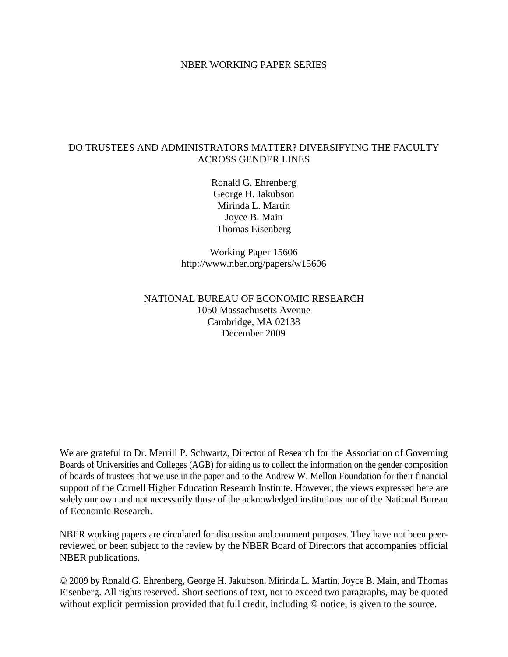## NBER WORKING PAPER SERIES

## DO TRUSTEES AND ADMINISTRATORS MATTER? DIVERSIFYING THE FACULTY ACROSS GENDER LINES

Ronald G. Ehrenberg George H. Jakubson Mirinda L. Martin Joyce B. Main Thomas Eisenberg

Working Paper 15606 http://www.nber.org/papers/w15606

# NATIONAL BUREAU OF ECONOMIC RESEARCH 1050 Massachusetts Avenue Cambridge, MA 02138 December 2009

We are grateful to Dr. Merrill P. Schwartz, Director of Research for the Association of Governing Boards of Universities and Colleges (AGB) for aiding us to collect the information on the gender composition of boards of trustees that we use in the paper and to the Andrew W. Mellon Foundation for their financial support of the Cornell Higher Education Research Institute. However, the views expressed here are solely our own and not necessarily those of the acknowledged institutions nor of the National Bureau of Economic Research.

NBER working papers are circulated for discussion and comment purposes. They have not been peerreviewed or been subject to the review by the NBER Board of Directors that accompanies official NBER publications.

© 2009 by Ronald G. Ehrenberg, George H. Jakubson, Mirinda L. Martin, Joyce B. Main, and Thomas Eisenberg. All rights reserved. Short sections of text, not to exceed two paragraphs, may be quoted without explicit permission provided that full credit, including  $\odot$  notice, is given to the source.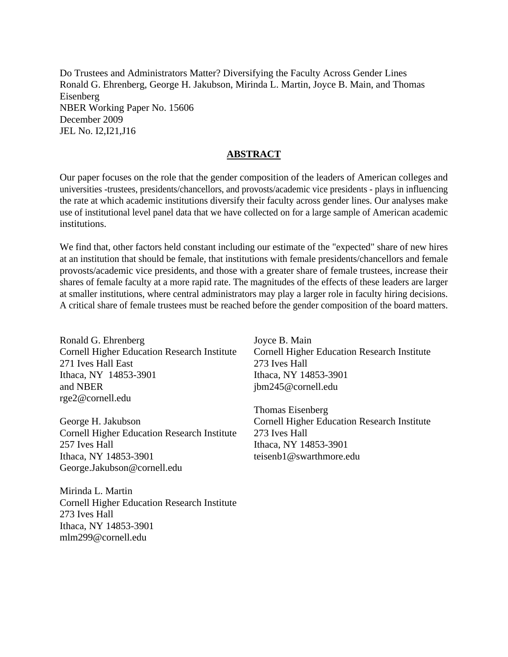Do Trustees and Administrators Matter? Diversifying the Faculty Across Gender Lines Ronald G. Ehrenberg, George H. Jakubson, Mirinda L. Martin, Joyce B. Main, and Thomas Eisenberg NBER Working Paper No. 15606 December 2009 JEL No. I2,I21,J16

## **ABSTRACT**

Our paper focuses on the role that the gender composition of the leaders of American colleges and universities -trustees, presidents/chancellors, and provosts/academic vice presidents - plays in influencing the rate at which academic institutions diversify their faculty across gender lines. Our analyses make use of institutional level panel data that we have collected on for a large sample of American academic institutions.

We find that, other factors held constant including our estimate of the "expected" share of new hires at an institution that should be female, that institutions with female presidents/chancellors and female provosts/academic vice presidents, and those with a greater share of female trustees, increase their shares of female faculty at a more rapid rate. The magnitudes of the effects of these leaders are larger at smaller institutions, where central administrators may play a larger role in faculty hiring decisions. A critical share of female trustees must be reached before the gender composition of the board matters.

Ronald G. Ehrenberg Cornell Higher Education Research Institute 271 Ives Hall East Ithaca, NY 14853-3901 and NBER rge2@cornell.edu

George H. Jakubson Cornell Higher Education Research Institute 257 Ives Hall Ithaca, NY 14853-3901 George.Jakubson@cornell.edu

Mirinda L. Martin Cornell Higher Education Research Institute 273 Ives Hall Ithaca, NY 14853-3901 mlm299@cornell.edu

Joyce B. Main Cornell Higher Education Research Institute 273 Ives Hall Ithaca, NY 14853-3901 jbm245@cornell.edu

Thomas Eisenberg Cornell Higher Education Research Institute 273 Ives Hall Ithaca, NY 14853-3901 teisenb1@swarthmore.edu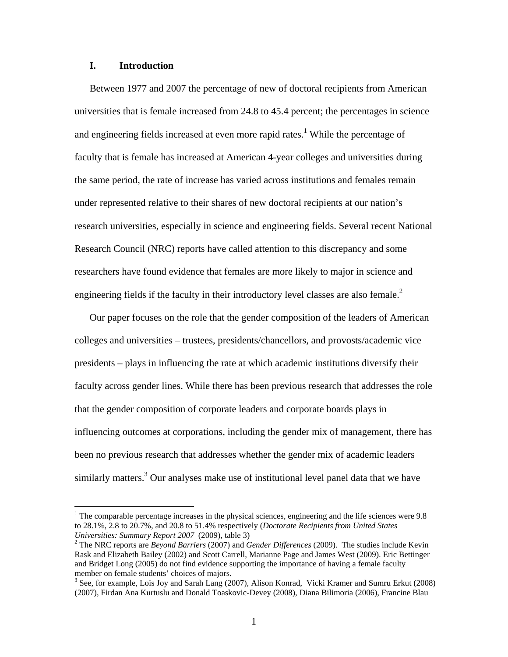## **I. Introduction**

1

Between 1977 and 2007 the percentage of new of doctoral recipients from American universities that is female increased from 24.8 to 45.4 percent; the percentages in science and engineering fields increased at even more rapid rates.<sup>1</sup> While the percentage of faculty that is female has increased at American 4-year colleges and universities during the same period, the rate of increase has varied across institutions and females remain under represented relative to their shares of new doctoral recipients at our nation's research universities, especially in science and engineering fields. Several recent National Research Council (NRC) reports have called attention to this discrepancy and some researchers have found evidence that females are more likely to major in science and engineering fields if the faculty in their introductory level classes are also female. $2$ 

Our paper focuses on the role that the gender composition of the leaders of American colleges and universities – trustees, presidents/chancellors, and provosts/academic vice presidents – plays in influencing the rate at which academic institutions diversify their faculty across gender lines. While there has been previous research that addresses the role that the gender composition of corporate leaders and corporate boards plays in influencing outcomes at corporations, including the gender mix of management, there has been no previous research that addresses whether the gender mix of academic leaders similarly matters.<sup>3</sup> Our analyses make use of institutional level panel data that we have

 $1$  The comparable percentage increases in the physical sciences, engineering and the life sciences were 9.8 to 28.1%, 2.8 to 20.7%, and 20.8 to 51.4% respectively (*Doctorate Recipients from United States Universities: Summary Report 2007* (2009), table 3) 2

The NRC reports are *Beyond Barriers* (2007) and *Gender Differences* (2009). The studies include Kevin Rask and Elizabeth Bailey (2002) and Scott Carrell, Marianne Page and James West (2009). Eric Bettinger and Bridget Long (2005) do not find evidence supporting the importance of having a female faculty member on female students' choices of majors.

<sup>&</sup>lt;sup>3</sup> See, for example, Lois Joy and Sarah Lang (2007), Alison Konrad, Vicki Kramer and Sumru Erkut (2008) (2007), Firdan Ana Kurtuslu and Donald Toaskovic-Devey (2008), Diana Bilimoria (2006), Francine Blau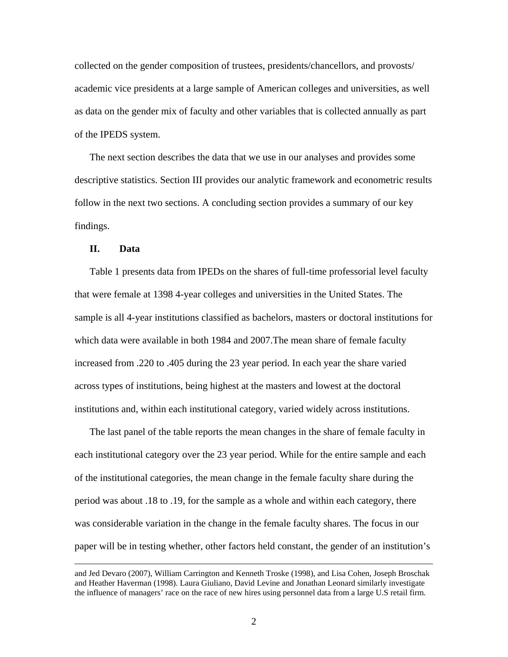collected on the gender composition of trustees, presidents/chancellors, and provosts/ academic vice presidents at a large sample of American colleges and universities, as well as data on the gender mix of faculty and other variables that is collected annually as part of the IPEDS system.

The next section describes the data that we use in our analyses and provides some descriptive statistics. Section III provides our analytic framework and econometric results follow in the next two sections. A concluding section provides a summary of our key findings.

#### **II. Data**

Table 1 presents data from IPEDs on the shares of full-time professorial level faculty that were female at 1398 4-year colleges and universities in the United States. The sample is all 4-year institutions classified as bachelors, masters or doctoral institutions for which data were available in both 1984 and 2007.The mean share of female faculty increased from .220 to .405 during the 23 year period. In each year the share varied across types of institutions, being highest at the masters and lowest at the doctoral institutions and, within each institutional category, varied widely across institutions.

The last panel of the table reports the mean changes in the share of female faculty in each institutional category over the 23 year period. While for the entire sample and each of the institutional categories, the mean change in the female faculty share during the period was about .18 to .19, for the sample as a whole and within each category, there was considerable variation in the change in the female faculty shares. The focus in our paper will be in testing whether, other factors held constant, the gender of an institution's

and Jed Devaro (2007), William Carrington and Kenneth Troske (1998), and Lisa Cohen, Joseph Broschak and Heather Haverman (1998). Laura Giuliano, David Levine and Jonathan Leonard similarly investigate the influence of managers' race on the race of new hires using personnel data from a large U.S retail firm.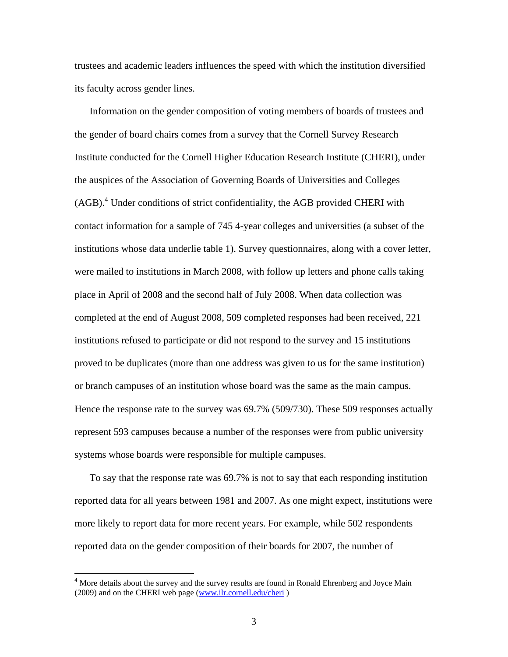trustees and academic leaders influences the speed with which the institution diversified its faculty across gender lines.

Information on the gender composition of voting members of boards of trustees and the gender of board chairs comes from a survey that the Cornell Survey Research Institute conducted for the Cornell Higher Education Research Institute (CHERI), under the auspices of the Association of Governing Boards of Universities and Colleges (AGB).<sup>4</sup> Under conditions of strict confidentiality, the AGB provided CHERI with contact information for a sample of 745 4-year colleges and universities (a subset of the institutions whose data underlie table 1). Survey questionnaires, along with a cover letter, were mailed to institutions in March 2008, with follow up letters and phone calls taking place in April of 2008 and the second half of July 2008. When data collection was completed at the end of August 2008, 509 completed responses had been received, 221 institutions refused to participate or did not respond to the survey and 15 institutions proved to be duplicates (more than one address was given to us for the same institution) or branch campuses of an institution whose board was the same as the main campus. Hence the response rate to the survey was 69.7% (509/730). These 509 responses actually represent 593 campuses because a number of the responses were from public university systems whose boards were responsible for multiple campuses.

To say that the response rate was 69.7% is not to say that each responding institution reported data for all years between 1981 and 2007. As one might expect, institutions were more likely to report data for more recent years. For example, while 502 respondents reported data on the gender composition of their boards for 2007, the number of

<sup>&</sup>lt;sup>4</sup> More details about the survey and the survey results are found in Ronald Ehrenberg and Joyce Main (2009) and on the CHERI web page (www.ilr.cornell.edu/cheri )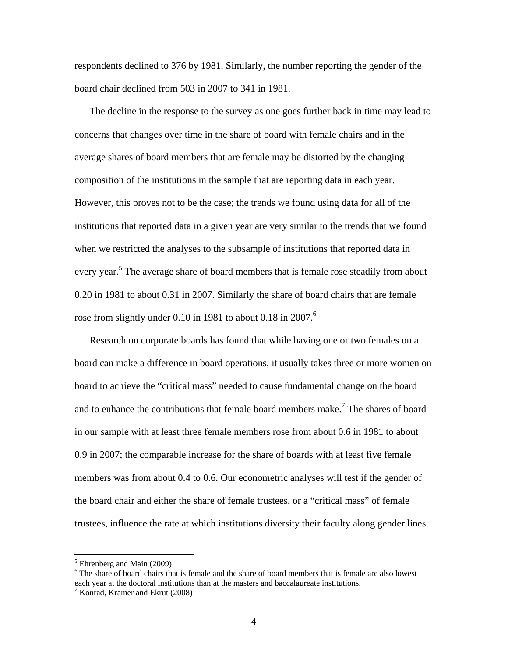respondents declined to 376 by 1981. Similarly, the number reporting the gender of the board chair declined from 503 in 2007 to 341 in 1981.

The decline in the response to the survey as one goes further back in time may lead to concerns that changes over time in the share of board with female chairs and in the average shares of board members that are female may be distorted by the changing composition of the institutions in the sample that are reporting data in each year. However, this proves not to be the case; the trends we found using data for all of the institutions that reported data in a given year are very similar to the trends that we found when we restricted the analyses to the subsample of institutions that reported data in every year.<sup>5</sup> The average share of board members that is female rose steadily from about 0.20 in 1981 to about 0.31 in 2007. Similarly the share of board chairs that are female rose from slightly under 0.10 in 1981 to about 0.18 in 2007.<sup>6</sup>

Research on corporate boards has found that while having one or two females on a board can make a difference in board operations, it usually takes three or more women on board to achieve the "critical mass" needed to cause fundamental change on the board and to enhance the contributions that female board members make.<sup>7</sup> The shares of board in our sample with at least three female members rose from about 0.6 in 1981 to about 0.9 in 2007; the comparable increase for the share of boards with at least five female members was from about 0.4 to 0.6. Our econometric analyses will test if the gender of the board chair and either the share of female trustees, or a "critical mass" of female trustees, influence the rate at which institutions diversity their faculty along gender lines.

<sup>&</sup>lt;sup>5</sup> Ehrenberg and Main (2009)

<sup>&</sup>lt;sup>6</sup> The share of board chairs that is female and the share of board members that is female are also lowest each year at the doctoral institutions than at the masters and baccalaureate institutions. 7

 $\frac{7}{1}$  Konrad, Kramer and Ekrut (2008)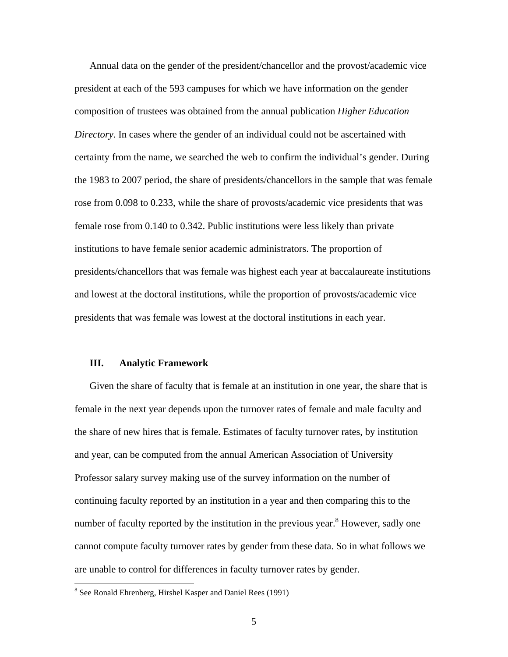Annual data on the gender of the president/chancellor and the provost/academic vice president at each of the 593 campuses for which we have information on the gender composition of trustees was obtained from the annual publication *Higher Education Directory*. In cases where the gender of an individual could not be ascertained with certainty from the name, we searched the web to confirm the individual's gender. During the 1983 to 2007 period, the share of presidents/chancellors in the sample that was female rose from 0.098 to 0.233, while the share of provosts/academic vice presidents that was female rose from 0.140 to 0.342. Public institutions were less likely than private institutions to have female senior academic administrators. The proportion of presidents/chancellors that was female was highest each year at baccalaureate institutions and lowest at the doctoral institutions, while the proportion of provosts/academic vice presidents that was female was lowest at the doctoral institutions in each year.

#### **III. Analytic Framework**

Given the share of faculty that is female at an institution in one year, the share that is female in the next year depends upon the turnover rates of female and male faculty and the share of new hires that is female. Estimates of faculty turnover rates, by institution and year, can be computed from the annual American Association of University Professor salary survey making use of the survey information on the number of continuing faculty reported by an institution in a year and then comparing this to the number of faculty reported by the institution in the previous year.<sup>8</sup> However, sadly one cannot compute faculty turnover rates by gender from these data. So in what follows we are unable to control for differences in faculty turnover rates by gender.

<sup>&</sup>lt;sup>8</sup> See Ronald Ehrenberg, Hirshel Kasper and Daniel Rees (1991)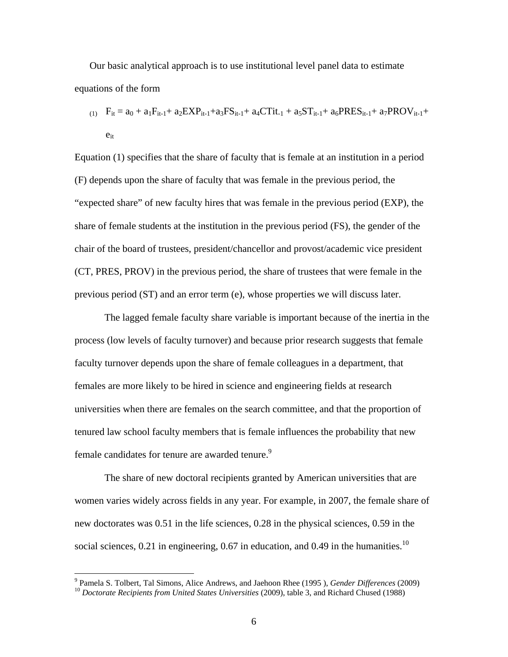Our basic analytical approach is to use institutional level panel data to estimate equations of the form

 $F_{it} = a_0 + a_1 F_{it-1} + a_2 EXP_{it-1} + a_3 FS_{it-1} + a_4 CTit_{-1} + a_5 ST_{it-1} + a_6 PRES_{it-1} + a_7 PROV_{it-1} + a_6 PRES_{it-1}$  $e_{it}$ 

Equation (1) specifies that the share of faculty that is female at an institution in a period (F) depends upon the share of faculty that was female in the previous period, the "expected share" of new faculty hires that was female in the previous period (EXP), the share of female students at the institution in the previous period (FS), the gender of the chair of the board of trustees, president/chancellor and provost/academic vice president (CT, PRES, PROV) in the previous period, the share of trustees that were female in the previous period (ST) and an error term (e), whose properties we will discuss later.

 The lagged female faculty share variable is important because of the inertia in the process (low levels of faculty turnover) and because prior research suggests that female faculty turnover depends upon the share of female colleagues in a department, that females are more likely to be hired in science and engineering fields at research universities when there are females on the search committee, and that the proportion of tenured law school faculty members that is female influences the probability that new female candidates for tenure are awarded tenure.<sup>9</sup>

 The share of new doctoral recipients granted by American universities that are women varies widely across fields in any year. For example, in 2007, the female share of new doctorates was 0.51 in the life sciences, 0.28 in the physical sciences, 0.59 in the social sciences, 0.21 in engineering, 0.67 in education, and 0.49 in the humanities.<sup>10</sup>

<sup>-&</sup>lt;br>9 <sup>10</sup> Doctorate Recipients from United States Universities (2009), table 3, and Richard Chused (1988)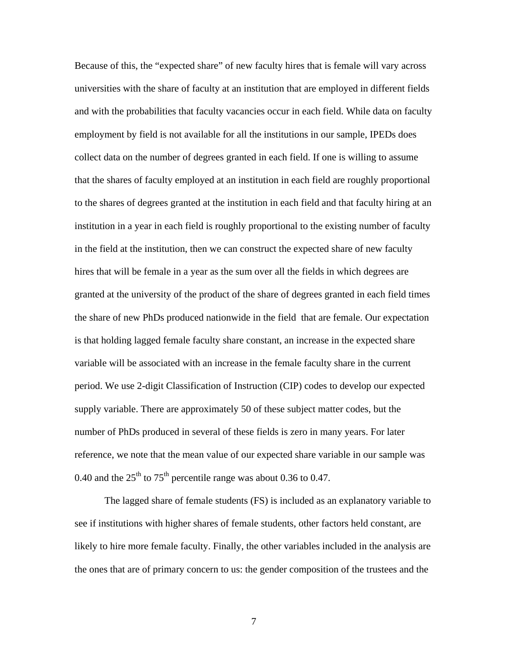Because of this, the "expected share" of new faculty hires that is female will vary across universities with the share of faculty at an institution that are employed in different fields and with the probabilities that faculty vacancies occur in each field. While data on faculty employment by field is not available for all the institutions in our sample, IPEDs does collect data on the number of degrees granted in each field. If one is willing to assume that the shares of faculty employed at an institution in each field are roughly proportional to the shares of degrees granted at the institution in each field and that faculty hiring at an institution in a year in each field is roughly proportional to the existing number of faculty in the field at the institution, then we can construct the expected share of new faculty hires that will be female in a year as the sum over all the fields in which degrees are granted at the university of the product of the share of degrees granted in each field times the share of new PhDs produced nationwide in the field that are female. Our expectation is that holding lagged female faculty share constant, an increase in the expected share variable will be associated with an increase in the female faculty share in the current period. We use 2-digit Classification of Instruction (CIP) codes to develop our expected supply variable. There are approximately 50 of these subject matter codes, but the number of PhDs produced in several of these fields is zero in many years. For later reference, we note that the mean value of our expected share variable in our sample was 0.40 and the  $25<sup>th</sup>$  to  $75<sup>th</sup>$  percentile range was about 0.36 to 0.47.

 The lagged share of female students (FS) is included as an explanatory variable to see if institutions with higher shares of female students, other factors held constant, are likely to hire more female faculty. Finally, the other variables included in the analysis are the ones that are of primary concern to us: the gender composition of the trustees and the

7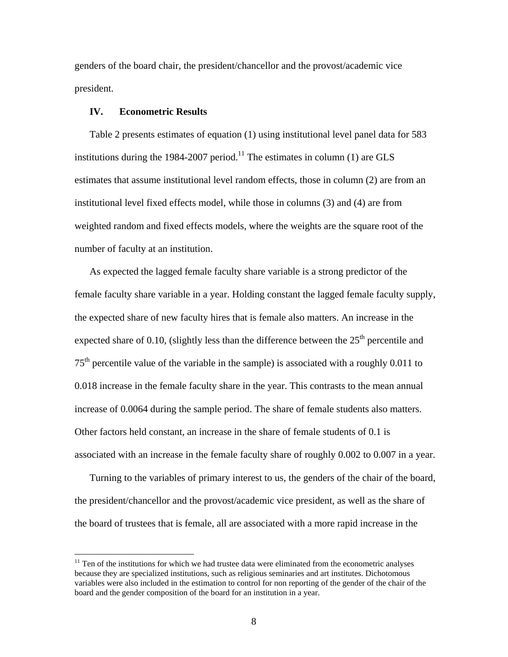genders of the board chair, the president/chancellor and the provost/academic vice president.

## **IV. Econometric Results**

 $\overline{a}$ 

Table 2 presents estimates of equation (1) using institutional level panel data for 583 institutions during the 1984-2007 period.<sup>11</sup> The estimates in column (1) are GLS estimates that assume institutional level random effects, those in column (2) are from an institutional level fixed effects model, while those in columns (3) and (4) are from weighted random and fixed effects models, where the weights are the square root of the number of faculty at an institution.

As expected the lagged female faculty share variable is a strong predictor of the female faculty share variable in a year. Holding constant the lagged female faculty supply, the expected share of new faculty hires that is female also matters. An increase in the expected share of 0.10, (slightly less than the difference between the  $25<sup>th</sup>$  percentile and  $75<sup>th</sup>$  percentile value of the variable in the sample) is associated with a roughly 0.011 to 0.018 increase in the female faculty share in the year. This contrasts to the mean annual increase of 0.0064 during the sample period. The share of female students also matters. Other factors held constant, an increase in the share of female students of 0.1 is associated with an increase in the female faculty share of roughly 0.002 to 0.007 in a year.

Turning to the variables of primary interest to us, the genders of the chair of the board, the president/chancellor and the provost/academic vice president, as well as the share of the board of trustees that is female, all are associated with a more rapid increase in the

 $11$  Ten of the institutions for which we had trustee data were eliminated from the econometric analyses because they are specialized institutions, such as religious seminaries and art institutes. Dichotomous variables were also included in the estimation to control for non reporting of the gender of the chair of the board and the gender composition of the board for an institution in a year.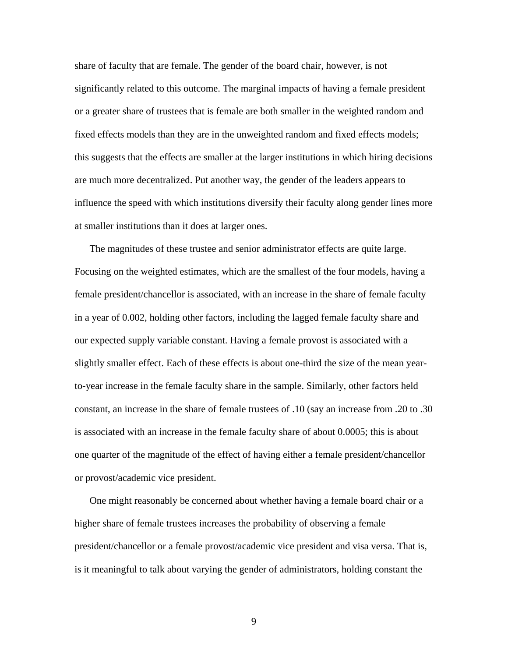share of faculty that are female. The gender of the board chair, however, is not significantly related to this outcome. The marginal impacts of having a female president or a greater share of trustees that is female are both smaller in the weighted random and fixed effects models than they are in the unweighted random and fixed effects models; this suggests that the effects are smaller at the larger institutions in which hiring decisions are much more decentralized. Put another way, the gender of the leaders appears to influence the speed with which institutions diversify their faculty along gender lines more at smaller institutions than it does at larger ones.

The magnitudes of these trustee and senior administrator effects are quite large. Focusing on the weighted estimates, which are the smallest of the four models, having a female president/chancellor is associated, with an increase in the share of female faculty in a year of 0.002, holding other factors, including the lagged female faculty share and our expected supply variable constant. Having a female provost is associated with a slightly smaller effect. Each of these effects is about one-third the size of the mean yearto-year increase in the female faculty share in the sample. Similarly, other factors held constant, an increase in the share of female trustees of .10 (say an increase from .20 to .30 is associated with an increase in the female faculty share of about 0.0005; this is about one quarter of the magnitude of the effect of having either a female president/chancellor or provost/academic vice president.

One might reasonably be concerned about whether having a female board chair or a higher share of female trustees increases the probability of observing a female president/chancellor or a female provost/academic vice president and visa versa. That is, is it meaningful to talk about varying the gender of administrators, holding constant the

9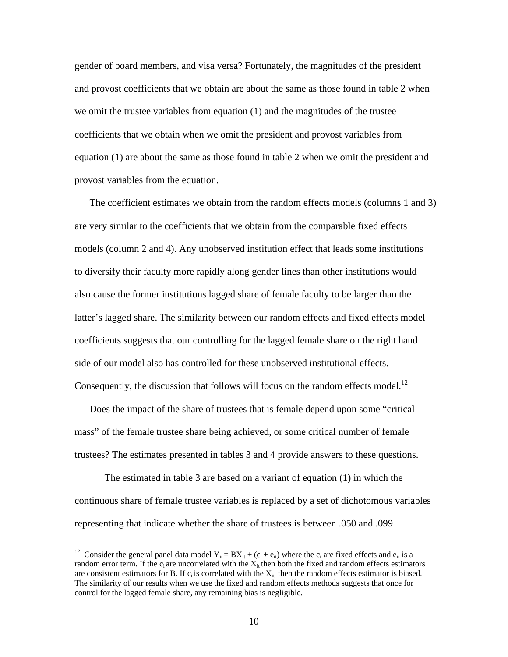gender of board members, and visa versa? Fortunately, the magnitudes of the president and provost coefficients that we obtain are about the same as those found in table 2 when we omit the trustee variables from equation (1) and the magnitudes of the trustee coefficients that we obtain when we omit the president and provost variables from equation (1) are about the same as those found in table 2 when we omit the president and provost variables from the equation.

The coefficient estimates we obtain from the random effects models (columns 1 and 3) are very similar to the coefficients that we obtain from the comparable fixed effects models (column 2 and 4). Any unobserved institution effect that leads some institutions to diversify their faculty more rapidly along gender lines than other institutions would also cause the former institutions lagged share of female faculty to be larger than the latter's lagged share. The similarity between our random effects and fixed effects model coefficients suggests that our controlling for the lagged female share on the right hand side of our model also has controlled for these unobserved institutional effects. Consequently, the discussion that follows will focus on the random effects model.<sup>12</sup>

Does the impact of the share of trustees that is female depend upon some "critical mass" of the female trustee share being achieved, or some critical number of female trustees? The estimates presented in tables 3 and 4 provide answers to these questions.

 The estimated in table 3 are based on a variant of equation (1) in which the continuous share of female trustee variables is replaced by a set of dichotomous variables representing that indicate whether the share of trustees is between .050 and .099

<sup>&</sup>lt;sup>12</sup> Consider the general panel data model  $Y_{it} = BX_{it} + (c_i + e_{it})$  where the  $c_i$  are fixed effects and  $e_{it}$  is a random error term. If the  $c_i$  are uncorrelated with the  $X_{it}$  then both the fixed and random effects estimators are consistent estimators for B. If  $c_i$  is correlated with the  $X_{it}$  then the random effects estimator is biased. The similarity of our results when we use the fixed and random effects methods suggests that once for control for the lagged female share, any remaining bias is negligible.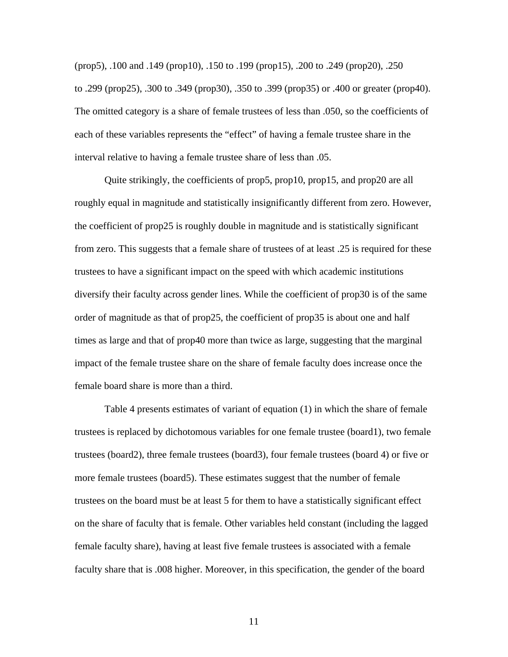(prop5), .100 and .149 (prop10), .150 to .199 (prop15), .200 to .249 (prop20), .250 to .299 (prop25), .300 to .349 (prop30), .350 to .399 (prop35) or .400 or greater (prop40). The omitted category is a share of female trustees of less than .050, so the coefficients of each of these variables represents the "effect" of having a female trustee share in the interval relative to having a female trustee share of less than .05.

 Quite strikingly, the coefficients of prop5, prop10, prop15, and prop20 are all roughly equal in magnitude and statistically insignificantly different from zero. However, the coefficient of prop25 is roughly double in magnitude and is statistically significant from zero. This suggests that a female share of trustees of at least .25 is required for these trustees to have a significant impact on the speed with which academic institutions diversify their faculty across gender lines. While the coefficient of prop30 is of the same order of magnitude as that of prop25, the coefficient of prop35 is about one and half times as large and that of prop40 more than twice as large, suggesting that the marginal impact of the female trustee share on the share of female faculty does increase once the female board share is more than a third.

 Table 4 presents estimates of variant of equation (1) in which the share of female trustees is replaced by dichotomous variables for one female trustee (board1), two female trustees (board2), three female trustees (board3), four female trustees (board 4) or five or more female trustees (board5). These estimates suggest that the number of female trustees on the board must be at least 5 for them to have a statistically significant effect on the share of faculty that is female. Other variables held constant (including the lagged female faculty share), having at least five female trustees is associated with a female faculty share that is .008 higher. Moreover, in this specification, the gender of the board

11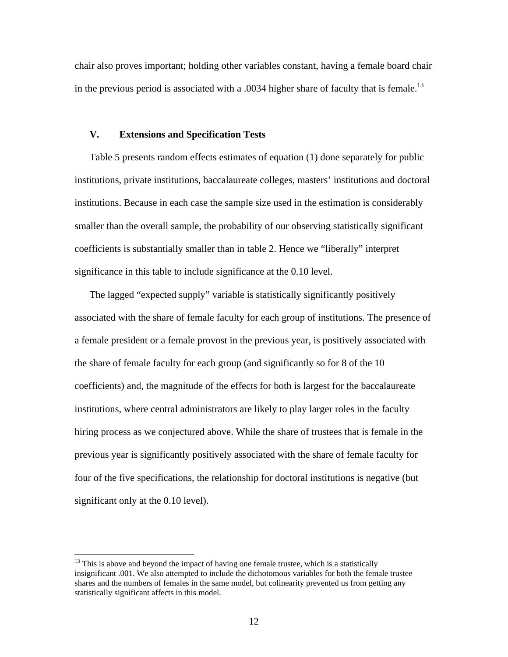chair also proves important; holding other variables constant, having a female board chair in the previous period is associated with a .0034 higher share of faculty that is female.<sup>13</sup>

## **V. Extensions and Specification Tests**

Table 5 presents random effects estimates of equation (1) done separately for public institutions, private institutions, baccalaureate colleges, masters' institutions and doctoral institutions. Because in each case the sample size used in the estimation is considerably smaller than the overall sample, the probability of our observing statistically significant coefficients is substantially smaller than in table 2. Hence we "liberally" interpret significance in this table to include significance at the 0.10 level.

The lagged "expected supply" variable is statistically significantly positively associated with the share of female faculty for each group of institutions. The presence of a female president or a female provost in the previous year, is positively associated with the share of female faculty for each group (and significantly so for 8 of the 10 coefficients) and, the magnitude of the effects for both is largest for the baccalaureate institutions, where central administrators are likely to play larger roles in the faculty hiring process as we conjectured above. While the share of trustees that is female in the previous year is significantly positively associated with the share of female faculty for four of the five specifications, the relationship for doctoral institutions is negative (but significant only at the 0.10 level).

 $13$  This is above and beyond the impact of having one female trustee, which is a statistically insignificant .001. We also attempted to include the dichotomous variables for both the female trustee shares and the numbers of females in the same model, but colinearity prevented us from getting any statistically significant affects in this model.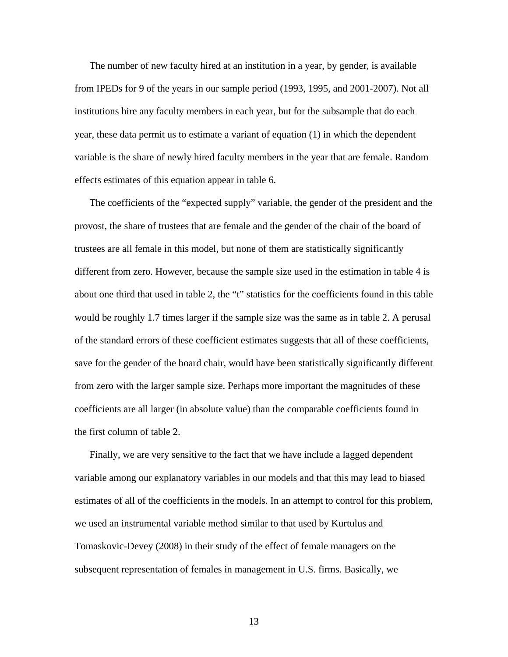The number of new faculty hired at an institution in a year, by gender, is available from IPEDs for 9 of the years in our sample period (1993, 1995, and 2001-2007). Not all institutions hire any faculty members in each year, but for the subsample that do each year, these data permit us to estimate a variant of equation (1) in which the dependent variable is the share of newly hired faculty members in the year that are female. Random effects estimates of this equation appear in table 6.

The coefficients of the "expected supply" variable, the gender of the president and the provost, the share of trustees that are female and the gender of the chair of the board of trustees are all female in this model, but none of them are statistically significantly different from zero. However, because the sample size used in the estimation in table 4 is about one third that used in table 2, the "t" statistics for the coefficients found in this table would be roughly 1.7 times larger if the sample size was the same as in table 2. A perusal of the standard errors of these coefficient estimates suggests that all of these coefficients, save for the gender of the board chair, would have been statistically significantly different from zero with the larger sample size. Perhaps more important the magnitudes of these coefficients are all larger (in absolute value) than the comparable coefficients found in the first column of table 2.

Finally, we are very sensitive to the fact that we have include a lagged dependent variable among our explanatory variables in our models and that this may lead to biased estimates of all of the coefficients in the models. In an attempt to control for this problem, we used an instrumental variable method similar to that used by Kurtulus and Tomaskovic-Devey (2008) in their study of the effect of female managers on the subsequent representation of females in management in U.S. firms. Basically, we

13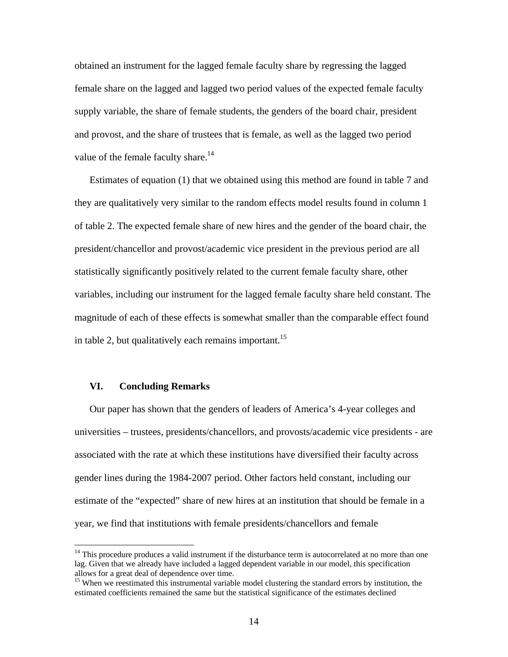obtained an instrument for the lagged female faculty share by regressing the lagged female share on the lagged and lagged two period values of the expected female faculty supply variable, the share of female students, the genders of the board chair, president and provost, and the share of trustees that is female, as well as the lagged two period value of the female faculty share.<sup>14</sup>

Estimates of equation (1) that we obtained using this method are found in table 7 and they are qualitatively very similar to the random effects model results found in column 1 of table 2. The expected female share of new hires and the gender of the board chair, the president/chancellor and provost/academic vice president in the previous period are all statistically significantly positively related to the current female faculty share, other variables, including our instrument for the lagged female faculty share held constant. The magnitude of each of these effects is somewhat smaller than the comparable effect found in table 2, but qualitatively each remains important.<sup>15</sup>

#### **VI. Concluding Remarks**

 $\overline{a}$ 

Our paper has shown that the genders of leaders of America's 4-year colleges and universities – trustees, presidents/chancellors, and provosts/academic vice presidents - are associated with the rate at which these institutions have diversified their faculty across gender lines during the 1984-2007 period. Other factors held constant, including our estimate of the "expected" share of new hires at an institution that should be female in a year, we find that institutions with female presidents/chancellors and female

 $14$  This procedure produces a valid instrument if the disturbance term is autocorrelated at no more than one lag. Given that we already have included a lagged dependent variable in our model, this specification allows for a great deal of dependence over time.

<sup>&</sup>lt;sup>15</sup> When we reestimated this instrumental variable model clustering the standard errors by institution, the estimated coefficients remained the same but the statistical significance of the estimates declined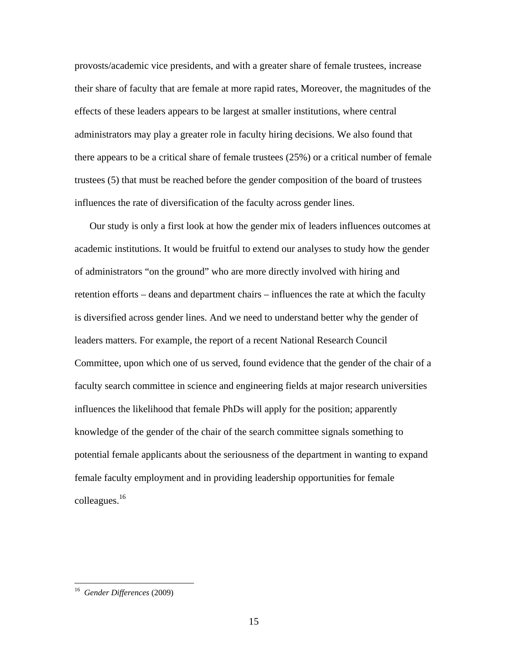provosts/academic vice presidents, and with a greater share of female trustees, increase their share of faculty that are female at more rapid rates, Moreover, the magnitudes of the effects of these leaders appears to be largest at smaller institutions, where central administrators may play a greater role in faculty hiring decisions. We also found that there appears to be a critical share of female trustees (25%) or a critical number of female trustees (5) that must be reached before the gender composition of the board of trustees influences the rate of diversification of the faculty across gender lines.

Our study is only a first look at how the gender mix of leaders influences outcomes at academic institutions. It would be fruitful to extend our analyses to study how the gender of administrators "on the ground" who are more directly involved with hiring and retention efforts – deans and department chairs – influences the rate at which the faculty is diversified across gender lines. And we need to understand better why the gender of leaders matters. For example, the report of a recent National Research Council Committee, upon which one of us served, found evidence that the gender of the chair of a faculty search committee in science and engineering fields at major research universities influences the likelihood that female PhDs will apply for the position; apparently knowledge of the gender of the chair of the search committee signals something to potential female applicants about the seriousness of the department in wanting to expand female faculty employment and in providing leadership opportunities for female colleagues.16

<sup>16</sup> *Gender Differences* (2009)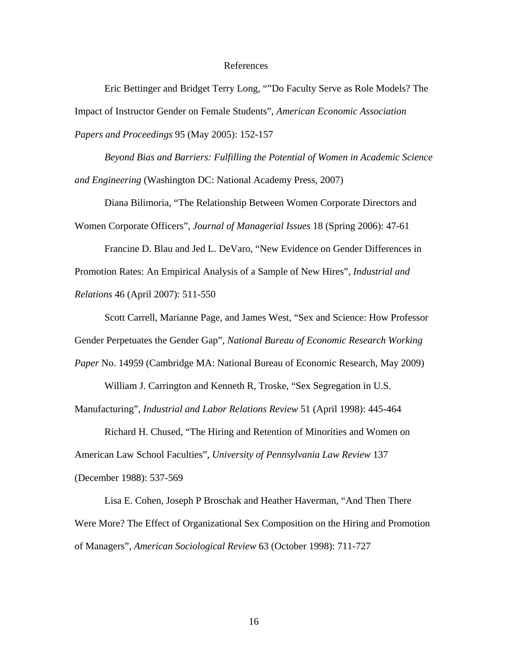#### References

 Eric Bettinger and Bridget Terry Long, ""Do Faculty Serve as Role Models? The Impact of Instructor Gender on Female Students", *American Economic Association Papers and Proceedings* 95 (May 2005): 152-157

*Beyond Bias and Barriers: Fulfilling the Potential of Women in Academic Science and Engineering* (Washington DC: National Academy Press, 2007)

 Diana Bilimoria, "The Relationship Between Women Corporate Directors and Women Corporate Officers", *Journal of Managerial Issues* 18 (Spring 2006): 47-61

 Francine D. Blau and Jed L. DeVaro, "New Evidence on Gender Differences in Promotion Rates: An Empirical Analysis of a Sample of New Hires", *Industrial and Relations* 46 (April 2007): 511-550

 Scott Carrell, Marianne Page, and James West, "Sex and Science: How Professor Gender Perpetuates the Gender Gap", *National Bureau of Economic Research Working Paper* No. 14959 (Cambridge MA: National Bureau of Economic Research, May 2009)

 William J. Carrington and Kenneth R, Troske, "Sex Segregation in U.S. Manufacturing", *Industrial and Labor Relations Review* 51 (April 1998): 445-464

 Richard H. Chused, "The Hiring and Retention of Minorities and Women on American Law School Faculties", *University of Pennsylvania Law Review* 137 (December 1988): 537-569

 Lisa E. Cohen, Joseph P Broschak and Heather Haverman, "And Then There Were More? The Effect of Organizational Sex Composition on the Hiring and Promotion of Managers", *American Sociological Review* 63 (October 1998): 711-727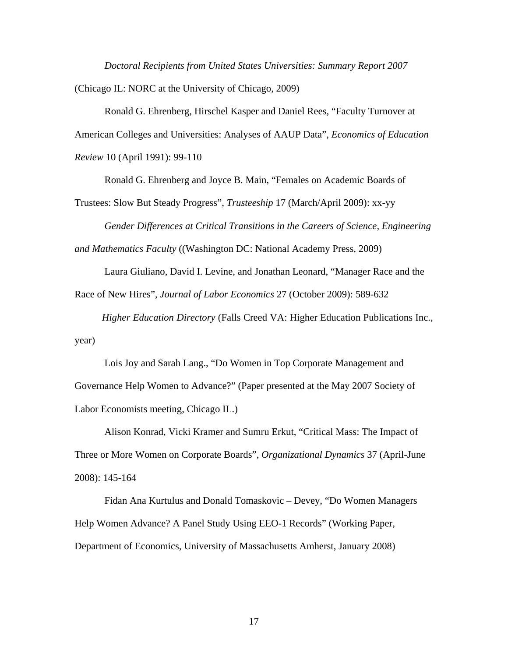*Doctoral Recipients from United States Universities: Summary Report 2007* (Chicago IL: NORC at the University of Chicago, 2009)

 Ronald G. Ehrenberg, Hirschel Kasper and Daniel Rees, "Faculty Turnover at American Colleges and Universities: Analyses of AAUP Data", *Economics of Education Review* 10 (April 1991): 99-110

Ronald G. Ehrenberg and Joyce B. Main, "Females on Academic Boards of

Trustees: Slow But Steady Progress", *Trusteeship* 17 (March/April 2009): xx-yy

*Gender Differences at Critical Transitions in the Careers of Science, Engineering* 

*and Mathematics Faculty* ((Washington DC: National Academy Press, 2009)

Laura Giuliano, David I. Levine, and Jonathan Leonard, "Manager Race and the

Race of New Hires", *Journal of Labor Economics* 27 (October 2009): 589-632

*Higher Education Directory* (Falls Creed VA: Higher Education Publications Inc., year)

 Lois Joy and Sarah Lang., "Do Women in Top Corporate Management and Governance Help Women to Advance?" (Paper presented at the May 2007 Society of Labor Economists meeting, Chicago IL.)

 Alison Konrad, Vicki Kramer and Sumru Erkut, "Critical Mass: The Impact of Three or More Women on Corporate Boards", *Organizational Dynamics* 37 (April-June 2008): 145-164

 Fidan Ana Kurtulus and Donald Tomaskovic – Devey, "Do Women Managers Help Women Advance? A Panel Study Using EEO-1 Records" (Working Paper, Department of Economics, University of Massachusetts Amherst, January 2008)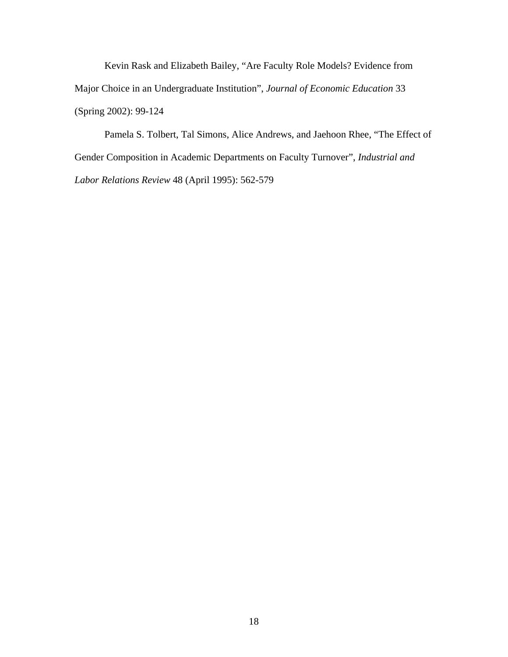Kevin Rask and Elizabeth Bailey, "Are Faculty Role Models? Evidence from Major Choice in an Undergraduate Institution", *Journal of Economic Education* 33 (Spring 2002): 99-124

 Pamela S. Tolbert, Tal Simons, Alice Andrews, and Jaehoon Rhee, "The Effect of Gender Composition in Academic Departments on Faculty Turnover", *Industrial and Labor Relations Review* 48 (April 1995): 562-579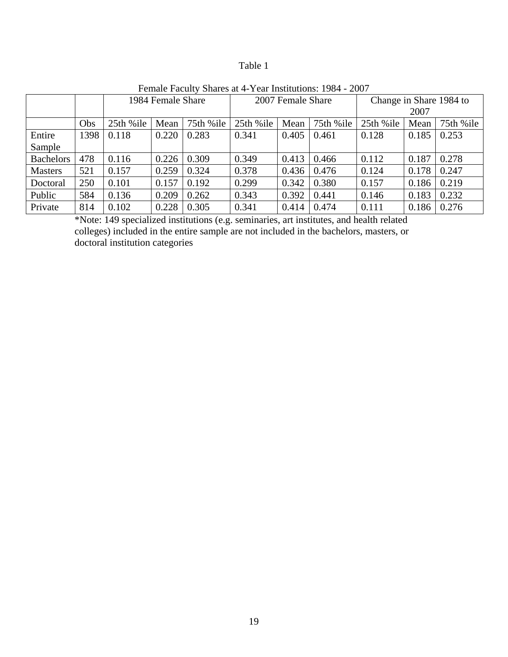# Table 1

| T CHIAIC I acuity Bliaics at $\pm$ I can Histitutions. T70 $\pm$ 2007 |      |                   |       |                   |           |                         |           |           |       |           |
|-----------------------------------------------------------------------|------|-------------------|-------|-------------------|-----------|-------------------------|-----------|-----------|-------|-----------|
|                                                                       |      | 1984 Female Share |       | 2007 Female Share |           | Change in Share 1984 to |           |           |       |           |
|                                                                       |      |                   |       |                   |           |                         | 2007      |           |       |           |
|                                                                       | Obs  | 25th %ile         | Mean  | 75th %ile         | 25th %ile | Mean                    | 75th %ile | 25th %ile | Mean  | 75th %ile |
| Entire                                                                | 1398 | 0.118             | 0.220 | 0.283             | 0.341     | 0.405                   | 0.461     | 0.128     | 0.185 | 0.253     |
| Sample                                                                |      |                   |       |                   |           |                         |           |           |       |           |
| <b>Bachelors</b>                                                      | 478  | 0.116             | 0.226 | 0.309             | 0.349     | 0.413                   | 0.466     | 0.112     | 0.187 | 0.278     |
| <b>Masters</b>                                                        | 521  | 0.157             | 0.259 | 0.324             | 0.378     | 0.436                   | 0.476     | 0.124     | 0.178 | 0.247     |
| Doctoral                                                              | 250  | 0.101             | 0.157 | 0.192             | 0.299     | 0.342                   | 0.380     | 0.157     | 0.186 | 0.219     |
| Public                                                                | 584  | 0.136             | 0.209 | 0.262             | 0.343     | 0.392                   | 0.441     | 0.146     | 0.183 | 0.232     |
| Private                                                               | 814  | 0.102             | 0.228 | 0.305             | 0.341     | 0.414                   | 0.474     | 0.111     | 0.186 | 0.276     |

Female Faculty Shares at 4-Year Institutions: 1984 - 2007

\*Note: 149 specialized institutions (e.g. seminaries, art institutes, and health related colleges) included in the entire sample are not included in the bachelors, masters, or doctoral institution categories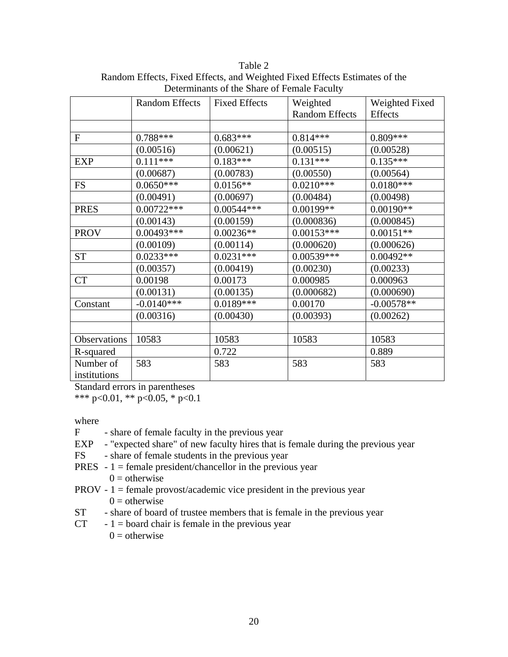|              | <b>Random Effects</b> | <b>Fixed Effects</b> | Weighted              | Weighted Fixed |
|--------------|-----------------------|----------------------|-----------------------|----------------|
|              |                       |                      | <b>Random Effects</b> | <b>Effects</b> |
|              |                       |                      |                       |                |
| ${\rm F}$    | $0.788***$            | $0.683***$           | $0.814***$            | $0.809***$     |
|              | (0.00516)             | (0.00621)            | (0.00515)             | (0.00528)      |
| <b>EXP</b>   | $0.111***$            | $0.183***$           | $0.131***$            | $0.135***$     |
|              | (0.00687)             | (0.00783)            | (0.00550)             | (0.00564)      |
| <b>FS</b>    | $0.0650***$           | $0.0156**$           | $0.0210***$           | $0.0180***$    |
|              | (0.00491)             | (0.00697)            | (0.00484)             | (0.00498)      |
| <b>PRES</b>  | $0.00722***$          | $0.00544***$         | 0.00199**             | $0.00190**$    |
|              | (0.00143)             | (0.00159)            | (0.000836)            | (0.000845)     |
| <b>PROV</b>  | $0.00493***$          | $0.00236**$          | $0.00153***$          | $0.00151**$    |
|              | (0.00109)             | (0.00114)            | (0.000620)            | (0.000626)     |
| <b>ST</b>    | $0.0233***$           | $0.0231***$          | $0.00539***$          | $0.00492**$    |
|              | (0.00357)             | (0.00419)            | (0.00230)             | (0.00233)      |
| <b>CT</b>    | 0.00198               | 0.00173              | 0.000985              | 0.000963       |
|              | (0.00131)             | (0.00135)            | (0.000682)            | (0.000690)     |
| Constant     | $-0.0140***$          | $0.0189***$          | 0.00170               | $-0.00578**$   |
|              | (0.00316)             | (0.00430)            | (0.00393)             | (0.00262)      |
|              |                       |                      |                       |                |
| Observations | 10583                 | 10583                | 10583                 | 10583          |
| R-squared    |                       | 0.722                |                       | 0.889          |
| Number of    | 583                   | 583                  | 583                   | 583            |
| institutions |                       |                      |                       |                |

Table 2 Random Effects, Fixed Effects, and Weighted Fixed Effects Estimates of the Determinants of the Share of Female Faculty

Standard errors in parentheses

\*\*\* p<0.01, \*\* p<0.05, \* p<0.1

where

- F share of female faculty in the previous year
- EXP "expected share" of new faculty hires that is female during the previous year
- FS share of female students in the previous year
- **PRES**  $-1$  = female president/chancellor in the previous year
	- $0 =$  otherwise
- PROV  $1 =$  female provost/academic vice president in the previous year  $0 =$  otherwise
- ST share of board of trustee members that is female in the previous year
- $CT 1 =$  board chair is female in the previous year  $0 =$  otherwise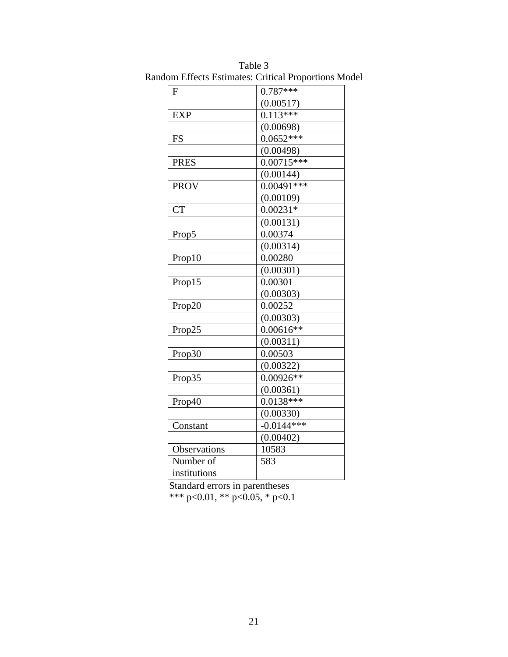| (0.00517)<br>$0.113***$<br><b>EXP</b><br>(0.00698)<br>$0.0652***$<br><b>FS</b><br>(0.00498)<br>$0.0071\overline{5***}$<br><b>PRES</b><br>(0.00144)<br>$0.00491***$<br><b>PROV</b><br>(0.00109)<br><b>CT</b><br>$0.00231*$<br>(0.00131)<br>0.00374<br>Prop5<br>(0.00314)<br>0.00280<br>Prop10<br>(0.00301)<br>Prop15<br>0.00301<br>(0.00303)<br>0.00252<br>Prop20<br>(0.00303)<br>$0.00616**$<br>Prop25<br>(0.00311)<br>0.00503<br>Prop30<br>(0.00322)<br>$0.00926**$<br>Prop35<br>(0.00361)<br>$0.0138***$<br>Prop40<br>(0.00330)<br>$-0.0144***$<br>Constant<br>(0.00402)<br>Observations<br>10583<br>Number of<br>583<br>institutions | $\mathbf F$ | $0.787***$ |
|-----------------------------------------------------------------------------------------------------------------------------------------------------------------------------------------------------------------------------------------------------------------------------------------------------------------------------------------------------------------------------------------------------------------------------------------------------------------------------------------------------------------------------------------------------------------------------------------------------------------------------------------|-------------|------------|
|                                                                                                                                                                                                                                                                                                                                                                                                                                                                                                                                                                                                                                         |             |            |
|                                                                                                                                                                                                                                                                                                                                                                                                                                                                                                                                                                                                                                         |             |            |
|                                                                                                                                                                                                                                                                                                                                                                                                                                                                                                                                                                                                                                         |             |            |
|                                                                                                                                                                                                                                                                                                                                                                                                                                                                                                                                                                                                                                         |             |            |
|                                                                                                                                                                                                                                                                                                                                                                                                                                                                                                                                                                                                                                         |             |            |
|                                                                                                                                                                                                                                                                                                                                                                                                                                                                                                                                                                                                                                         |             |            |
|                                                                                                                                                                                                                                                                                                                                                                                                                                                                                                                                                                                                                                         |             |            |
|                                                                                                                                                                                                                                                                                                                                                                                                                                                                                                                                                                                                                                         |             |            |
|                                                                                                                                                                                                                                                                                                                                                                                                                                                                                                                                                                                                                                         |             |            |
|                                                                                                                                                                                                                                                                                                                                                                                                                                                                                                                                                                                                                                         |             |            |
|                                                                                                                                                                                                                                                                                                                                                                                                                                                                                                                                                                                                                                         |             |            |
|                                                                                                                                                                                                                                                                                                                                                                                                                                                                                                                                                                                                                                         |             |            |
|                                                                                                                                                                                                                                                                                                                                                                                                                                                                                                                                                                                                                                         |             |            |
|                                                                                                                                                                                                                                                                                                                                                                                                                                                                                                                                                                                                                                         |             |            |
|                                                                                                                                                                                                                                                                                                                                                                                                                                                                                                                                                                                                                                         |             |            |
|                                                                                                                                                                                                                                                                                                                                                                                                                                                                                                                                                                                                                                         |             |            |
|                                                                                                                                                                                                                                                                                                                                                                                                                                                                                                                                                                                                                                         |             |            |
|                                                                                                                                                                                                                                                                                                                                                                                                                                                                                                                                                                                                                                         |             |            |
|                                                                                                                                                                                                                                                                                                                                                                                                                                                                                                                                                                                                                                         |             |            |
|                                                                                                                                                                                                                                                                                                                                                                                                                                                                                                                                                                                                                                         |             |            |
|                                                                                                                                                                                                                                                                                                                                                                                                                                                                                                                                                                                                                                         |             |            |
|                                                                                                                                                                                                                                                                                                                                                                                                                                                                                                                                                                                                                                         |             |            |
|                                                                                                                                                                                                                                                                                                                                                                                                                                                                                                                                                                                                                                         |             |            |
|                                                                                                                                                                                                                                                                                                                                                                                                                                                                                                                                                                                                                                         |             |            |
|                                                                                                                                                                                                                                                                                                                                                                                                                                                                                                                                                                                                                                         |             |            |
|                                                                                                                                                                                                                                                                                                                                                                                                                                                                                                                                                                                                                                         |             |            |
|                                                                                                                                                                                                                                                                                                                                                                                                                                                                                                                                                                                                                                         |             |            |
|                                                                                                                                                                                                                                                                                                                                                                                                                                                                                                                                                                                                                                         |             |            |
|                                                                                                                                                                                                                                                                                                                                                                                                                                                                                                                                                                                                                                         |             |            |
|                                                                                                                                                                                                                                                                                                                                                                                                                                                                                                                                                                                                                                         |             |            |
|                                                                                                                                                                                                                                                                                                                                                                                                                                                                                                                                                                                                                                         |             |            |
|                                                                                                                                                                                                                                                                                                                                                                                                                                                                                                                                                                                                                                         |             |            |
|                                                                                                                                                                                                                                                                                                                                                                                                                                                                                                                                                                                                                                         |             |            |

Table 3 Random Effects Estimates: Critical Proportions Model

 Standard errors in parentheses \*\*\* p<0.01, \*\* p<0.05, \* p<0.1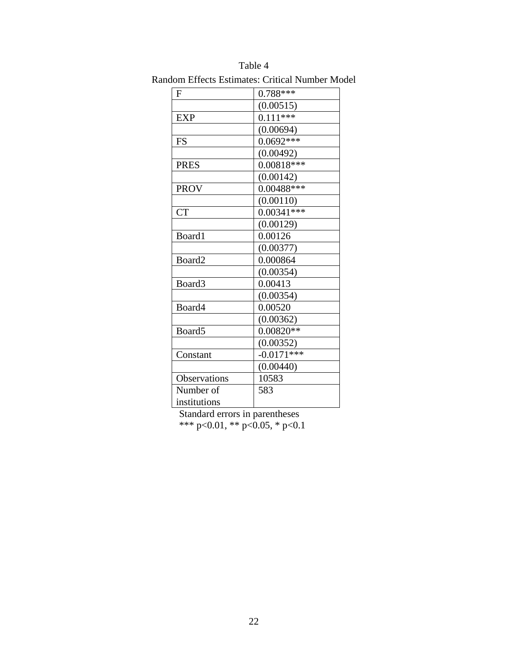| F                  | $0.788***$   |
|--------------------|--------------|
|                    | (0.00515)    |
| <b>EXP</b>         | $0.111***$   |
|                    | (0.00694)    |
| <b>FS</b>          | $0.0692***$  |
|                    | (0.00492)    |
| <b>PRES</b>        | $0.00818***$ |
|                    | (0.00142)    |
| <b>PROV</b>        | $0.00488***$ |
|                    | (0.00110)    |
| <b>CT</b>          | $0.00341***$ |
|                    | (0.00129)    |
| Board1             | 0.00126      |
|                    | (0.00377)    |
| Board2             | 0.000864     |
|                    | (0.00354)    |
| Board3             | 0.00413      |
|                    | (0.00354)    |
| Board4             | 0.00520      |
|                    | (0.00362)    |
| Board <sub>5</sub> | $0.00820**$  |
|                    | (0.00352)    |
| Constant           | $-0.0171***$ |
|                    | (0.00440)    |
| Observations       | 10583        |
| Number of          | 583          |
| institutions       |              |

Table 4 Random Effects Estimates: Critical Number Model

 Standard errors in parentheses \*\*\* p<0.01, \*\* p<0.05, \* p<0.1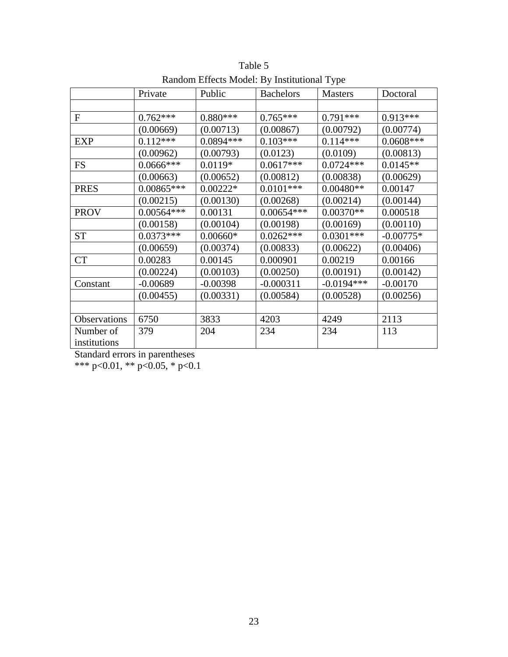|                           | Private      | Public      | <b>Bachelors</b> | <b>Masters</b> | Doctoral    |
|---------------------------|--------------|-------------|------------------|----------------|-------------|
|                           |              |             |                  |                |             |
| $\overline{F}$            | $0.762***$   | $0.880***$  | $0.765***$       | $0.791***$     | $0.913***$  |
|                           | (0.00669)    | (0.00713)   | (0.00867)        | (0.00792)      | (0.00774)   |
| <b>EXP</b>                | $0.112***$   | $0.0894***$ | $0.103***$       | $0.114***$     | $0.0608***$ |
|                           | (0.00962)    | (0.00793)   | (0.0123)         | (0.0109)       | (0.00813)   |
| <b>FS</b>                 | $0.0666$ *** | $0.0119*$   | $0.0617***$      | $0.0724***$    | $0.0145**$  |
|                           | (0.00663)    | (0.00652)   | (0.00812)        | (0.00838)      | (0.00629)   |
| <b>PRES</b>               | $0.00865***$ | $0.00222*$  | $0.0101***$      | $0.00480**$    | 0.00147     |
|                           | (0.00215)    | (0.00130)   | (0.00268)        | (0.00214)      | (0.00144)   |
| <b>PROV</b>               | $0.00564***$ | 0.00131     | $0.00654***$     | $0.00370**$    | 0.000518    |
|                           | (0.00158)    | (0.00104)   | (0.00198)        | (0.00169)      | (0.00110)   |
| <b>ST</b>                 | $0.0373***$  | $0.00660*$  | $0.0262***$      | $0.0301***$    | $-0.00775*$ |
|                           | (0.00659)    | (0.00374)   | (0.00833)        | (0.00622)      | (0.00406)   |
| CT                        | 0.00283      | 0.00145     | 0.000901         | 0.00219        | 0.00166     |
|                           | (0.00224)    | (0.00103)   | (0.00250)        | (0.00191)      | (0.00142)   |
| Constant                  | $-0.00689$   | $-0.00398$  | $-0.000311$      | $-0.0194***$   | $-0.00170$  |
|                           | (0.00455)    | (0.00331)   | (0.00584)        | (0.00528)      | (0.00256)   |
|                           |              |             |                  |                |             |
| Observations              | 6750         | 3833        | 4203             | 4249           | 2113        |
| Number of<br>institutions | 379          | 204         | 234              | 234            | 113         |

Table 5 Random Effects Model: By Institutional Type

Standard errors in parentheses

\*\*\* p<0.01, \*\* p<0.05, \* p<0.1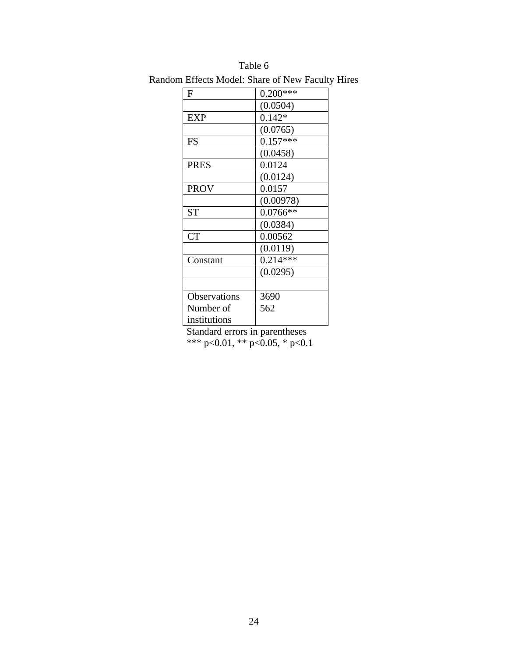| F            | $0.200***$ |
|--------------|------------|
|              | (0.0504)   |
| <b>EXP</b>   | $0.142*$   |
|              | (0.0765)   |
| FS           | $0.157***$ |
|              | (0.0458)   |
| <b>PRES</b>  | 0.0124     |
|              | (0.0124)   |
| <b>PROV</b>  | 0.0157     |
|              | (0.00978)  |
| <b>ST</b>    | $0.0766**$ |
|              | (0.0384)   |
| <b>CT</b>    | 0.00562    |
|              | (0.0119)   |
| Constant     | $0.214***$ |
|              | (0.0295)   |
|              |            |
| Observations | 3690       |
| Number of    | 562        |
| institutions |            |

Table 6 Random Effects Model: Share of New Faculty Hires

 Standard errors in parentheses \*\*\* p<0.01, \*\* p<0.05, \* p<0.1